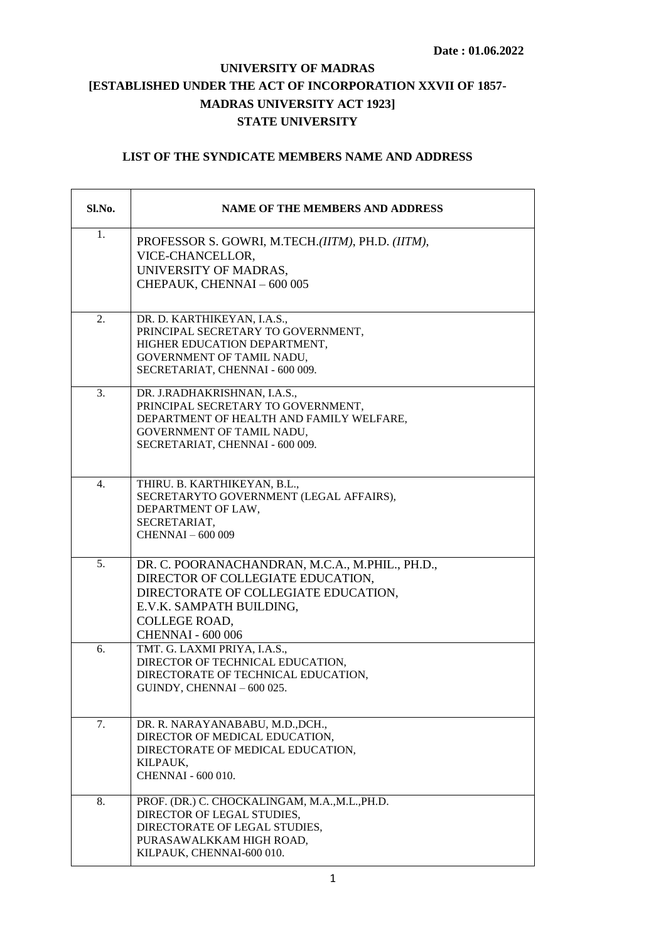## **UNIVERSITY OF MADRAS [ESTABLISHED UNDER THE ACT OF INCORPORATION XXVII OF 1857- MADRAS UNIVERSITY ACT 1923] STATE UNIVERSITY**

## **LIST OF THE SYNDICATE MEMBERS NAME AND ADDRESS**

| Sl.No. | <b>NAME OF THE MEMBERS AND ADDRESS</b>                                                                                                                                                                |
|--------|-------------------------------------------------------------------------------------------------------------------------------------------------------------------------------------------------------|
| 1.     | PROFESSOR S. GOWRI, M.TECH.(IITM), PH.D. (IITM),<br>VICE-CHANCELLOR.<br>UNIVERSITY OF MADRAS,<br>CHEPAUK, CHENNAI-600 005                                                                             |
| 2.     | DR. D. KARTHIKEYAN, I.A.S.,<br>PRINCIPAL SECRETARY TO GOVERNMENT,<br>HIGHER EDUCATION DEPARTMENT,<br>GOVERNMENT OF TAMIL NADU,<br>SECRETARIAT, CHENNAI - 600 009.                                     |
| 3.     | DR. J.RADHAKRISHNAN, I.A.S.,<br>PRINCIPAL SECRETARY TO GOVERNMENT,<br>DEPARTMENT OF HEALTH AND FAMILY WELFARE,<br>GOVERNMENT OF TAMIL NADU,<br>SECRETARIAT, CHENNAI - 600 009.                        |
| 4.     | THIRU. B. KARTHIKEYAN, B.L.,<br>SECRETARYTO GOVERNMENT (LEGAL AFFAIRS),<br>DEPARTMENT OF LAW,<br>SECRETARIAT,<br><b>CHENNAI - 600 009</b>                                                             |
| 5.     | DR. C. POORANACHANDRAN, M.C.A., M.PHIL., PH.D.,<br>DIRECTOR OF COLLEGIATE EDUCATION,<br>DIRECTORATE OF COLLEGIATE EDUCATION,<br>E.V.K. SAMPATH BUILDING,<br>COLLEGE ROAD,<br><b>CHENNAI - 600 006</b> |
| 6.     | TMT. G. LAXMI PRIYA, I.A.S.,<br>DIRECTOR OF TECHNICAL EDUCATION,<br>DIRECTORATE OF TECHNICAL EDUCATION,<br>GUINDY, CHENNAI - 600 025.                                                                 |
| 7.     | DR. R. NARAYANABABU, M.D., DCH.,<br>DIRECTOR OF MEDICAL EDUCATION,<br>DIRECTORATE OF MEDICAL EDUCATION,<br>KILPAUK,<br><b>CHENNAI - 600 010.</b>                                                      |
| 8.     | PROF. (DR.) C. CHOCKALINGAM, M.A.,M.L., PH.D.<br>DIRECTOR OF LEGAL STUDIES,<br>DIRECTORATE OF LEGAL STUDIES,<br>PURASAWALKKAM HIGH ROAD,<br>KILPAUK, CHENNAI-600 010.                                 |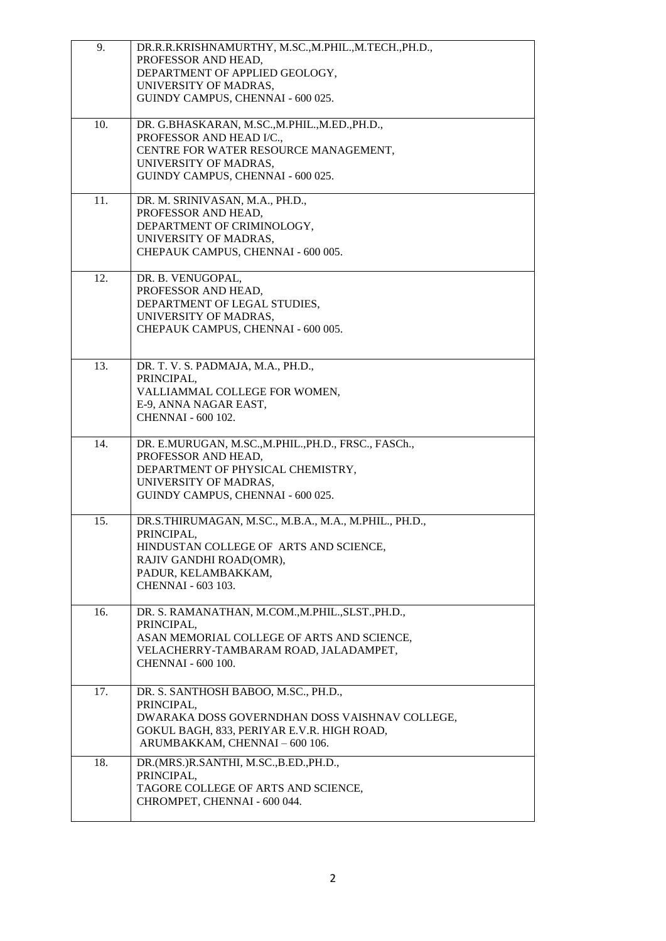| 9.  | DR.R.R.KRISHNAMURTHY, M.SC.,M.PHIL.,M.TECH.,PH.D.,<br>PROFESSOR AND HEAD,<br>DEPARTMENT OF APPLIED GEOLOGY,<br>UNIVERSITY OF MADRAS,<br>GUINDY CAMPUS, CHENNAI - 600 025.                    |
|-----|----------------------------------------------------------------------------------------------------------------------------------------------------------------------------------------------|
| 10. | DR. G.BHASKARAN, M.SC., M.PHIL., M.ED., PH.D.,<br>PROFESSOR AND HEAD I/C.,<br>CENTRE FOR WATER RESOURCE MANAGEMENT,<br>UNIVERSITY OF MADRAS,<br>GUINDY CAMPUS, CHENNAI - 600 025.            |
| 11. | DR. M. SRINIVASAN, M.A., PH.D.,<br>PROFESSOR AND HEAD,<br>DEPARTMENT OF CRIMINOLOGY,<br>UNIVERSITY OF MADRAS,<br>CHEPAUK CAMPUS, CHENNAI - 600 005.                                          |
| 12. | DR. B. VENUGOPAL,<br>PROFESSOR AND HEAD,<br>DEPARTMENT OF LEGAL STUDIES,<br>UNIVERSITY OF MADRAS,<br>CHEPAUK CAMPUS, CHENNAI - 600 005.                                                      |
| 13. | DR. T. V. S. PADMAJA, M.A., PH.D.,<br>PRINCIPAL,<br>VALLIAMMAL COLLEGE FOR WOMEN,<br>E-9, ANNA NAGAR EAST,<br><b>CHENNAI - 600 102.</b>                                                      |
| 14. | DR. E.MURUGAN, M.SC., M.PHIL., PH.D., FRSC., FASCh.,<br>PROFESSOR AND HEAD,<br>DEPARTMENT OF PHYSICAL CHEMISTRY,<br>UNIVERSITY OF MADRAS,<br>GUINDY CAMPUS, CHENNAI - 600 025.               |
| 15. | DR.S.THIRUMAGAN, M.SC., M.B.A., M.A., M.PHIL., PH.D.,<br>PRINCIPAL,<br>HINDUSTAN COLLEGE OF ARTS AND SCIENCE,<br>RAJIV GANDHI ROAD(OMR),<br>PADUR, KELAMBAKKAM,<br><b>CHENNAI - 603 103.</b> |
| 16. | DR. S. RAMANATHAN, M.COM., M.PHIL., SLST., PH.D.,<br>PRINCIPAL,<br>ASAN MEMORIAL COLLEGE OF ARTS AND SCIENCE,<br>VELACHERRY-TAMBARAM ROAD, JALADAMPET,<br><b>CHENNAI - 600 100.</b>          |
| 17. | DR. S. SANTHOSH BABOO, M.SC., PH.D.,<br>PRINCIPAL,<br>DWARAKA DOSS GOVERNDHAN DOSS VAISHNAV COLLEGE,<br>GOKUL BAGH, 833, PERIYAR E.V.R. HIGH ROAD,<br>ARUMBAKKAM, CHENNAI - 600 106.         |
| 18. | DR.(MRS.)R.SANTHI, M.SC.,B.ED.,PH.D.,<br>PRINCIPAL,<br>TAGORE COLLEGE OF ARTS AND SCIENCE,<br>CHROMPET, CHENNAI - 600 044.                                                                   |